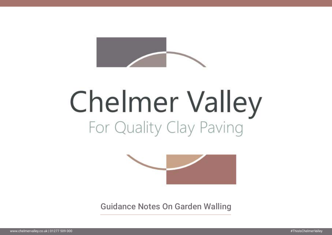

# **Chelmer Valley** For Quality Clay Paving



Guidance Notes On Garden Walling



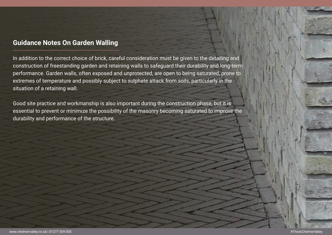#### **Guidance Notes On Garden Walling**

In addition to the correct choice of brick, careful consideration must be given to the detailing and construction of freestanding garden and retaining walls to safeguard their durability and long-term performance. Garden walls, often exposed and unprotected, are open to being saturated, prone to extremes of temperature and possibly subject to sulphate attack from soils, particularly in the situation of a retaining wall.

Good site practice and workmanship is also important during the construction phase, but it is essential to prevent or minimize the possibility of the masonry becoming saturated to improve the durability and performance of the structure.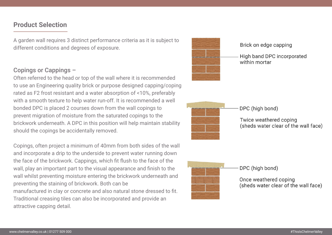#### **Product Selection**

A garden wall requires 3 distinct performance criteria as it is subject to different conditions and degrees of exposure.

#### Copings or Cappings –

Often referred to the head or top of the wall where it is recommended to use an Engineering quality brick or purpose designed capping/coping rated as F2 frost resistant and a water absorption of <10%, preferably with a smooth texture to help water run-off. It is recommended a well bonded DPC is placed 2 courses down from the wall copings to prevent migration of moisture from the saturated copings to the brickwork underneath. A DPC in this position will help maintain stability should the copings be accidentally removed.

Copings, often project a minimum of 40mm from both sides of the wall and incorporate a drip to the underside to prevent water running down the face of the brickwork. Cappings, which fit flush to the face of the wall, play an important part to the visual appearance and finish to the wall whilst preventing moisture entering the brickwork underneath and preventing the staining of brickwork. Both can be manufactured in clay or concrete and also natural stone dressed to fit. Traditional creasing tiles can also be incorporated and provide an attractive capping detail.







#### Brick on edge capping

High band DPC incorporated within mortar

DPC (high bond)

Twice weathered coping (sheds water clear of the wall face)

DPC (high bond)

Once weathered coping (sheds water clear of the wall face)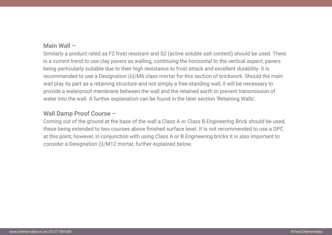#### Main Wall –

Similarly a product rated as F2 frost resistant and S2 (active soluble salt content) should be used. There is a current trend to use clay pavers as walling, continuing the horizontal to the vertical aspect, pavers being particularly suitable due to their high resistance to frost attack and excellent durability. It is recommended to use a Designation (ii)/M6 class mortar for this section of brickwork. Should the main wall play its part as a retaining structure and not simply a free-standing wall, it will be necessary to provide a waterproof membrane between the wall and the retained earth to prevent transmission of water into the wall. A further explanation can be found in the later section 'Retaining Walls'.

#### Wall Damp Proof Course –

Coming out of the ground at the base of the wall a Class A or Class B Engineering Brick should be used, these being extended to two courses above finished surface level. It is not recommended to use a DPC at this point, however, in conjunction with using Class A or B Engineering bricks it is also important to consider a Designation (i)/M12 mortar, further explained below.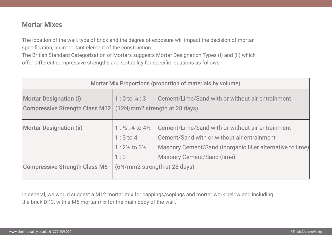#### **Mortar Mixes**

The location of the wall, type of brick and the degree of exposure will impact the decision of mortar specification, an important element of the construction.

The British Standard Categorisation of Mortars suggests Mortar Designation Types (i) and (ii) which offer different compressive strengths and suitability for specific locations as follows:-

| Mortar Mix Proportions (proportion of materials by volume)             |                                                                                                    |                                                                                                                                                          |
|------------------------------------------------------------------------|----------------------------------------------------------------------------------------------------|----------------------------------------------------------------------------------------------------------------------------------------------------------|
| <b>Mortar Designation (i)</b><br><b>Compressive Strength Class M12</b> |                                                                                                    | 1:0 to 1/4:3 Cement/Lime/Sand with or without<br>(12N/mm2 strength at 28 days)                                                                           |
| <b>Mortar Designation (ii)</b>                                         | $1: \frac{1}{2}: 4$ to $4\frac{1}{2}$<br>$1:3$ to $4$<br>$1:2\frac{1}{2}$ to $3\frac{1}{2}$<br>1:3 | Cement/Lime/Sand with or without<br>Cement/Sand with or without air ent<br><b>Masonry Cement/Sand (inorganic fi</b><br><b>Masonry Cement/Sand (lime)</b> |
| <b>Compressive Strength Class M6</b>                                   | (6N/mm2 strength at 28 days)                                                                       |                                                                                                                                                          |

In general, we would suggest a M12 mortar mix for cappings/copings and mortar work below and including the brick DPC, with a M6 mortar mix for the main body of the wall.

#### air entrainment

### air entrainment **itrainment** iller alternative to lime)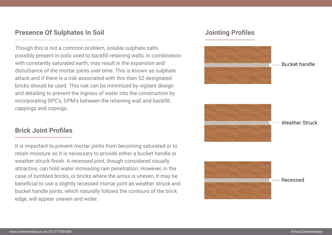#### **Presence Of Sulphates In Soil**

Though this is not a common problem, soluble sulphate salts possibly present in soils used to backfill retaining walls, in combination with constantly saturated earth, may result in the expansion and disturbance of the mortar joints over time. This is known as sulphate attack and if there is a risk associated with this then S2 designated bricks should be used. This risk can be minimized by vigilant design and detailing to prevent the ingress of water into the construction by incorporating DPC's, DPM's between the retaining wall and backfill, cappings and copings.

#### **Brick Joint Profiles**

It is important to prevent mortar joints from becoming saturated or to retain moisture so it is necessary to provide either a bucket handle or weather struck finish. A recessed joint, though considered visually attractive, can hold water increasing rain penetration. However, in the case of tumbled bricks, or bricks where the arriss is uneven, it may be beneficial to use a slightly recessed mortar joint as weather struck and bucket handle joints, which naturally follows the contours of the brick edge, will appear uneven and wider.

#### **Jointing Profiles**









#### **Bucket handle**



#### **Weather Struck**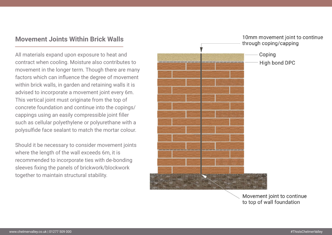#### **Movement Joints Within Brick Walls**

All materials expand upon exposure to heat and contract when cooling. Moisture also contributes to movement in the longer term. Though there are many factors which can influence the degree of movement within brick walls, in garden and retaining walls it is advised to incorporate a movement joint every 6m. This vertical joint must originate from the top of concrete foundation and continue into the copings/ cappings using an easily compressible joint filler such as cellular polyethylene or polyurethane with a polysulfide face sealant to match the mortar colour.

Should it be necessary to consider movement joints where the length of the wall exceeds 6m, it is recommended to incorporate ties with de-bonding sleeves fixing the panels of brickwork/blockwork together to maintain structural stability.



#### 10mm movement joint to continue through coping/capping

- Coping
- High bond DPC

#### Movement joint to continue to top of wall foundation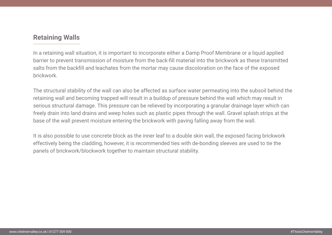#### **Retaining Walls**

In a retaining wall situation, it is important to incorporate either a Damp Proof Membrane or a liquid applied barrier to prevent transmission of moisture from the back-fill material into the brickwork as these transmitted salts from the backfill and leachates from the mortar may cause discoloration on the face of the exposed brickwork.

The structural stability of the wall can also be affected as surface water permeating into the subsoil behind the retaining wall and becoming trapped will result in a buildup of pressure behind the wall which may result in serious structural damage. This pressure can be relieved by incorporating a granular drainage layer which can freely drain into land drains and weep holes such as plastic pipes through the wall. Gravel splash strips at the base of the wall prevent moisture entering the brickwork with paving falling away from the wall.

It is also possible to use concrete block as the inner leaf to a double skin wall, the exposed facing brickwork effectively being the cladding, however, it is recommended ties with de-bonding sleeves are used to tie the panels of brickwork/blockwork together to maintain structural stability.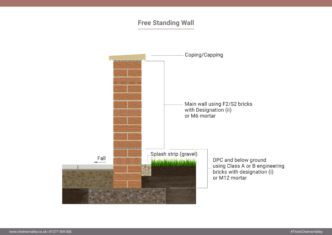#### **Free Standing Wall**